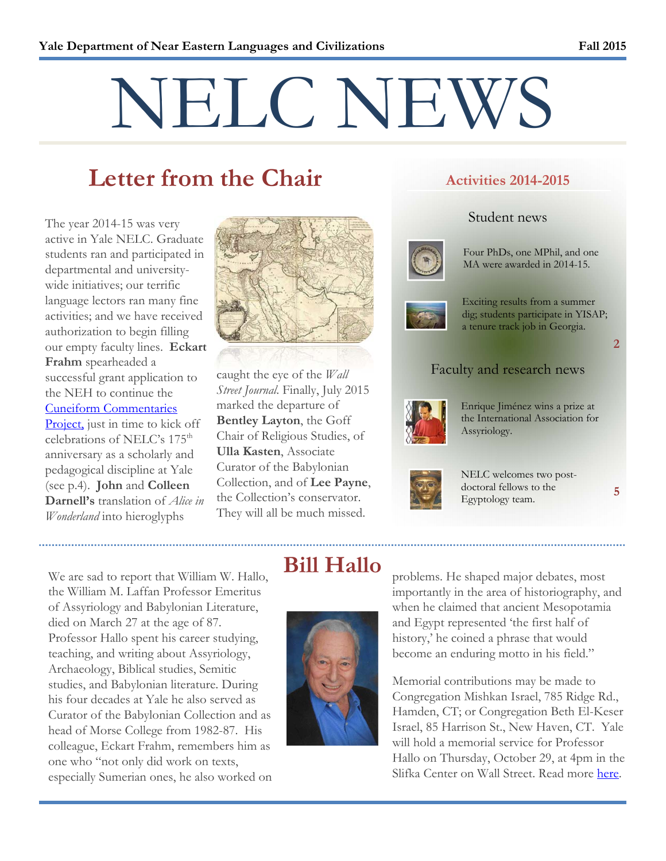# NELC NEWS

## **Letter from the Chair**

The year 2014-15 was very active in Yale NELC. Graduate students ran and participated in departmental and universitywide initiatives; our terrific language lectors ran many fine activities; and we have received authorization to begin filling our empty faculty lines. **Eckart Frahm** spearheaded a successful grant application to the NEH to continue the Cuneiform Commentaries Project, just in time to kick off celebrations of NELC's  $175<sup>th</sup>$ anniversary as a scholarly and pedagogical discipline at Yale (see p.4). **John** and **Colleen Darnell's** translation of *Alice in Wonderland* into hieroglyphs



caught the eye of the *Wall Street Journal*. Finally, July 2015 marked the departure of **Bentley Layton**, the Goff Chair of Religious Studies, of **Ulla Kasten**, Associate Curator of the Babylonian Collection, and of **Lee Payne**, the Collection's conservator. They will all be much missed.

#### **Activities 2014-2015**

#### Student news



Four PhDs, one MPhil, and one MA were awarded in 2014-15.



Exciting results from a summer dig; students participate in YISAP; a tenure track job in Georgia.

### Faculty and research news



Enrique Jiménez wins a prize at the International Association for Assyriology.



NELC welcomes two postdoctoral fellows to the Egyptology team.

**5**

**2**

We are sad to report that William W. Hallo, the William M. Laffan Professor Emeritus of Assyriology and Babylonian Literature, died on March 27 at the age of 87. Professor Hallo spent his career studying, teaching, and writing about Assyriology, Archaeology, Biblical studies, Semitic studies, and Babylonian literature. During his four decades at Yale he also served as Curator of the Babylonian Collection and as head of Morse College from 1982-87. His colleague, Eckart Frahm, remembers him as one who "not only did work on texts, especially Sumerian ones, he also worked on

## **Bill Hallo**



problems. He shaped major debates, most importantly in the area of historiography, and when he claimed that ancient Mesopotamia and Egypt represented 'the first half of history,' he coined a phrase that would become an enduring motto in his field."

Memorial contributions may be made to Congregation Mishkan Israel, 785 Ridge Rd., Hamden, CT; or Congregation Beth El-Keser Israel, 85 Harrison St., New Haven, CT. Yale will hold a memorial service for Professor Hallo on Thursday, October 29, at 4pm in the Slifka Center on Wall Street. Read more here.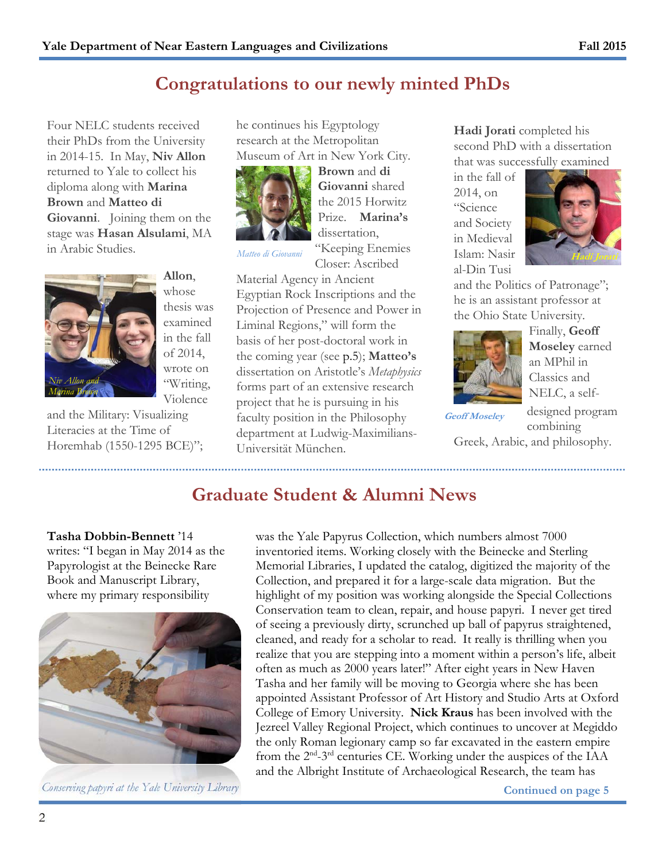Four NELC students received their PhDs from the University in 2014-15. In May, **Niv Allon** returned to Yale to collect his diploma along with **Marina Brown** and **Matteo di Giovanni**. Joining them on the stage was **Hasan Alsulami**, MA in Arabic Studies.



**Allon**, whose thesis was examined in the fall of 2014, wrote on "Writing, Violence

and the Military: Visualizing Literacies at the Time of Horemhab (1550-1295 BCE)"; he continues his Egyptology research at the Metropolitan Museum of Art in New York City.



**Brown** and **di Giovanni** shared the 2015 Horwitz Prize. **Marina's** dissertation, "Keeping Enemies

Closer: Ascribed

Material Agency in Ancient Egyptian Rock Inscriptions and the Projection of Presence and Power in Liminal Regions," will form the basis of her post-doctoral work in the coming year (see p.5); **Matteo's** dissertation on Aristotle's *Metaphysics* forms part of an extensive research project that he is pursuing in his faculty position in the Philosophy department at Ludwig-Maximilians-Universität München.

**Hadi Jorati** completed his second PhD with a dissertation that was successfully examined

in the fall of 2014, on "Science and Society in Medieval al-Din Tusi



and the Politics of Patronage"; he is an assistant professor at the Ohio State University.



Finally, **Geoff Moseley** earned an MPhil in Classics and NELC, a self-

**Geoff Moseley** 

designed program combining

Greek, Arabic, and philosophy.

## **Graduate Student & Alumni News**

#### **Tasha Dobbin-Bennett** '14

writes: "I began in May 2014 as the Papyrologist at the Beinecke Rare Book and Manuscript Library, where my primary responsibility



*Conserving papyri at the Yale University Library Conserving page 5* 

was the Yale Papyrus Collection, which numbers almost 7000 inventoried items. Working closely with the Beinecke and Sterling Memorial Libraries, I updated the catalog, digitized the majority of the Collection, and prepared it for a large-scale data migration. But the highlight of my position was working alongside the Special Collections Conservation team to clean, repair, and house papyri. I never get tired of seeing a previously dirty, scrunched up ball of papyrus straightened, cleaned, and ready for a scholar to read. It really is thrilling when you realize that you are stepping into a moment within a person's life, albeit often as much as 2000 years later!" After eight years in New Haven Tasha and her family will be moving to Georgia where she has been appointed Assistant Professor of Art History and Studio Arts at Oxford College of Emory University. **Nick Kraus** has been involved with the Jezreel Valley Regional Project, which continues to uncover at Megiddo the only Roman legionary camp so far excavated in the eastern empire from the 2<sup>nd</sup>-3<sup>rd</sup> centuries CE. Working under the auspices of the IAA and the Albright Institute of Archaeological Research, the team has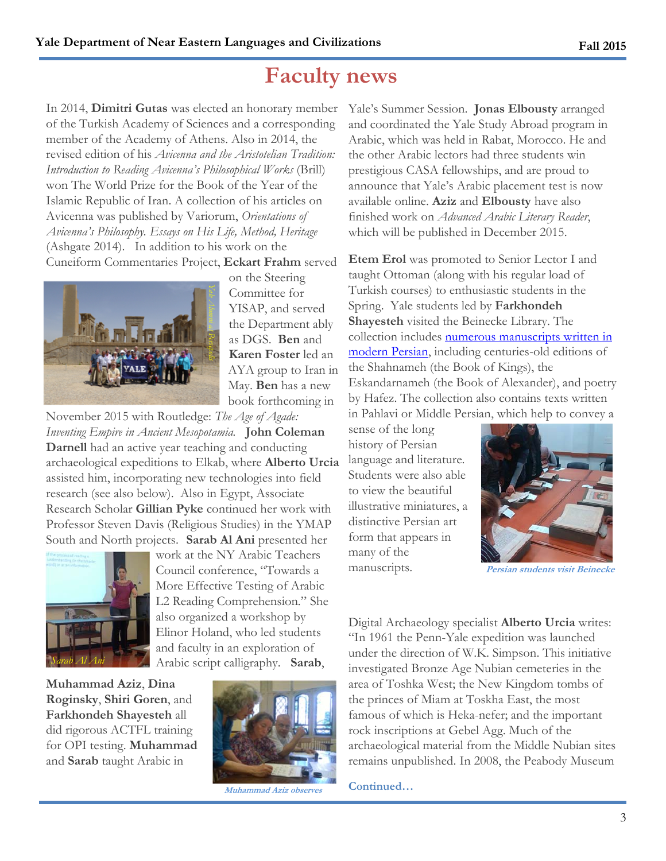## **Faculty news**

In 2014, **Dimitri Gutas** was elected an honorary member of the Turkish Academy of Sciences and a corresponding member of the Academy of Athens. Also in 2014, the revised edition of his *Avicenna and the Aristotelian Tradition: Introduction to Reading Avicenna's Philosophical Works* (Brill) won The World Prize for the Book of the Year of the Islamic Republic of Iran. A collection of his articles on Avicenna was published by Variorum, *Orientations of Avicenna's Philosophy. Essays on His Life, Method, Heritage* (Ashgate 2014). In addition to his work on the Cuneiform Commentaries Project, **Eckart Frahm** served



on the Steering Committee for YISAP, and served the Department ably as DGS. **Ben** and **Karen Foster** led an AYA group to Iran in May. **Ben** has a new book forthcoming in

November 2015 with Routledge: *The Age of Agade: Inventing Empire in Ancient Mesopotamia.* **John Coleman Darnell** had an active year teaching and conducting archaeological expeditions to Elkab, where **Alberto Urcia** assisted him, incorporating new technologies into field research (see also below). Also in Egypt, Associate Research Scholar **Gillian Pyke** continued her work with Professor Steven Davis (Religious Studies) in the YMAP South and North projects. **Sarab Al Ani** presented her



work at the NY Arabic Teachers Council conference, "Towards a More Effective Testing of Arabic L2 Reading Comprehension*.*" She also organized a workshop by Elinor Holand, who led students and faculty in an exploration of Arabic script calligraphy. **Sarab**,

**Muhammad Aziz**, **Dina Roginsky**, **Shiri Goren**, and **Farkhondeh Shayesteh** all did rigorous ACTFL training for OPI testing. **Muhammad** and **Sarab** taught Arabic in



**Muhammad Aziz obser** 

Yale's Summer Session. **Jonas Elbousty** arranged and coordinated the Yale Study Abroad program in Arabic, which was held in Rabat, Morocco. He and the other Arabic lectors had three students win prestigious CASA fellowships, and are proud to announce that Yale's Arabic placement test is now available online. **Aziz** and **Elbousty** have also finished work on *Advanced Arabic Literary Reader*, which will be published in December 2015.

**Etem Erol** was promoted to Senior Lector I and taught Ottoman (along with his regular load of Turkish courses) to enthusiastic students in the Spring. Yale students led by **Farkhondeh Shayesteh** visited the Beinecke Library. The collection includes numerous manuscripts written in modern Persian, including centuries-old editions of the Shahnameh (the Book of Kings), the Eskandarnameh (the Book of Alexander), and poetry by Hafez. The collection also contains texts written in Pahlavi or Middle Persian, which help to convey a

sense of the long history of Persian language and literature. Students were also able to view the beautiful illustrative miniatures, a distinctive Persian art form that appears in many of the manuscripts.



**Persian students visit Beinecke** 

Digital Archaeology specialist **Alberto Urcia** writes: "In 1961 the Penn-Yale expedition was launched under the direction of W.K. Simpson. This initiative investigated Bronze Age Nubian cemeteries in the area of Toshka West; the New Kingdom tombs of the princes of Miam at Toskha East, the most famous of which is Heka-nefer; and the important rock inscriptions at Gebel Agg. Much of the archaeological material from the Middle Nubian sites remains unpublished. In 2008, the Peabody Museum

**Continued…**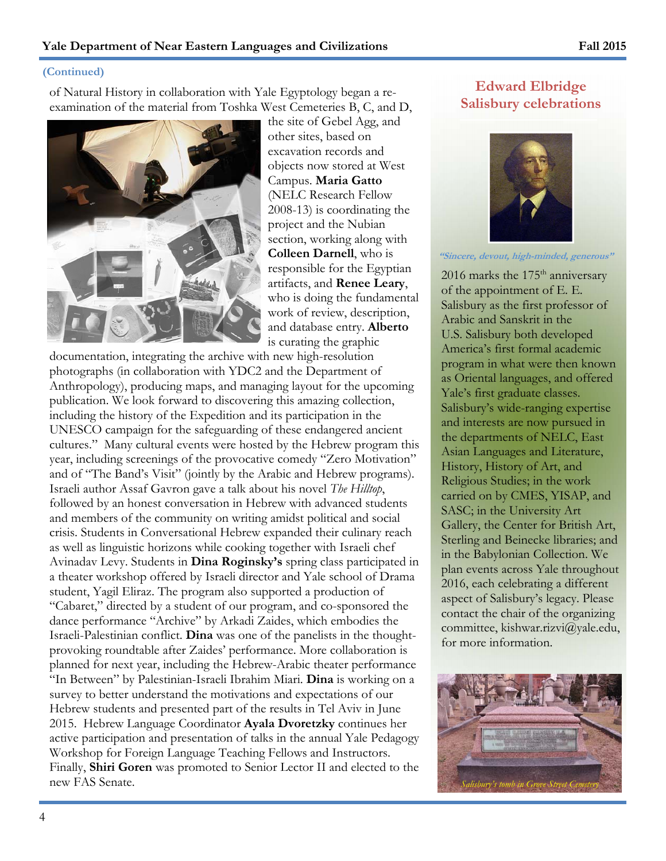#### **(Continued)**

of Natural History in collaboration with Yale Egyptology began a reexamination of the material from Toshka West Cemeteries B, C, and D,



the site of Gebel Agg, and other sites, based on excavation records and objects now stored at West Campus. **Maria Gatto** (NELC Research Fellow 2008-13) is coordinating the project and the Nubian section, working along with **Colleen Darnell**, who is responsible for the Egyptian artifacts, and **Renee Leary**, who is doing the fundamental work of review, description, and database entry. **Alberto**  is curating the graphic

documentation, integrating the archive with new high-resolution photographs (in collaboration with YDC2 and the Department of Anthropology), producing maps, and managing layout for the upcoming publication. We look forward to discovering this amazing collection, including the history of the Expedition and its participation in the UNESCO campaign for the safeguarding of these endangered ancient cultures." Many cultural events were hosted by the Hebrew program this year, including screenings of the provocative comedy "Zero Motivation" and of "The Band's Visit" (jointly by the Arabic and Hebrew programs). Israeli author Assaf Gavron gave a talk about his novel *The Hilltop*, followed by an honest conversation in Hebrew with advanced students and members of the community on writing amidst political and social crisis. Students in Conversational Hebrew expanded their culinary reach as well as linguistic horizons while cooking together with Israeli chef Avinadav Levy. Students in **Dina Roginsky's** spring class participated in a theater workshop offered by Israeli director and Yale school of Drama student, Yagil Eliraz. The program also supported a production of "Cabaret," directed by a student of our program, and co-sponsored the dance performance "Archive" by Arkadi Zaides, which embodies the Israeli-Palestinian conflict. **Dina** was one of the panelists in the thoughtprovoking roundtable after Zaides' performance. More collaboration is planned for next year, including the Hebrew-Arabic theater performance "In Between" by Palestinian-Israeli Ibrahim Miari. **Dina** is working on a survey to better understand the motivations and expectations of our Hebrew students and presented part of the results in Tel Aviv in June 2015. Hebrew Language Coordinator **Ayala Dvoretzky** continues her active participation and presentation of talks in the annual Yale Pedagogy Workshop for Foreign Language Teaching Fellows and Instructors. Finally, **Shiri Goren** was promoted to Senior Lector II and elected to the new FAS Senate.

#### **Edward Elbridge Salisbury celebrations**



**"Sincere, devout, high-minded, generous"** 

2016 marks the  $175<sup>th</sup>$  anniversary of the appointment of E. E. Salisbury as the first professor of Arabic and Sanskrit in the U.S. Salisbury both developed America's first formal academic program in what were then known as Oriental languages, and offered Yale's first graduate classes. Salisbury's wide-ranging expertise and interests are now pursued in the departments of NELC, East Asian Languages and Literature, History, History of Art, and Religious Studies; in the work carried on by CMES, YISAP, and SASC; in the University Art Gallery, the Center for British Art, Sterling and Beinecke libraries; and in the Babylonian Collection. We plan events across Yale throughout 2016, each celebrating a different aspect of Salisbury's legacy. Please contact the chair of the organizing committee, kishwar.rizvi@yale.edu, for more information.

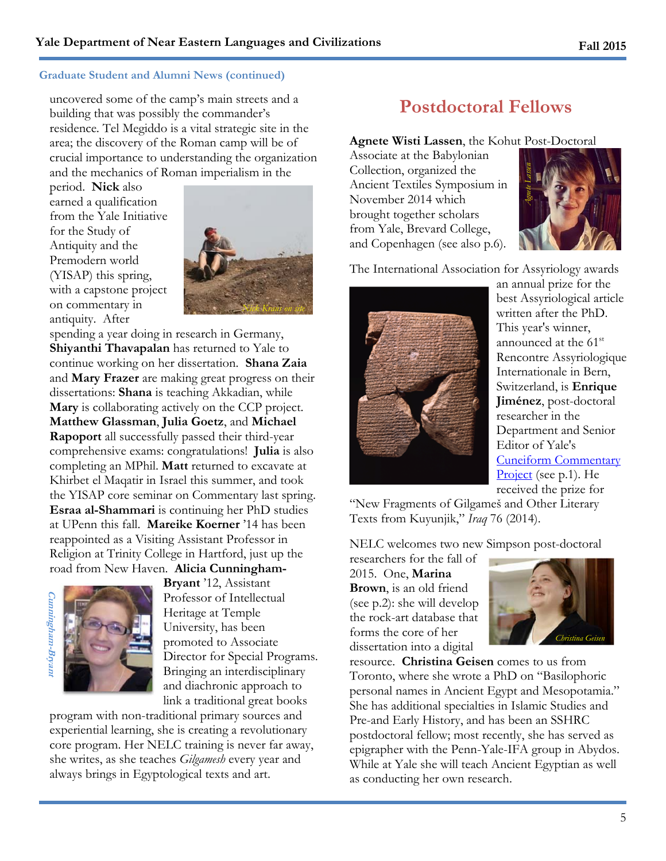#### **Graduate Student and Alumni News (continued)**

uncovered some of the camp's main streets and a building that was possibly the commander's residence*.* Tel Megiddo is a vital strategic site in the area; the discovery of the Roman camp will be of crucial importance to understanding the organization and the mechanics of Roman imperialism in the

period. **Nick** also earned a qualification from the Yale Initiative for the Study of Antiquity and the Premodern world (YISAP) this spring, with a capstone project on commentary in antiquity. After



spending a year doing in research in Germany, **Shiyanthi Thavapalan** has returned to Yale to continue working on her dissertation. **Shana Zaia** and **Mary Frazer** are making great progress on their dissertations: **Shana** is teaching Akkadian, while **Mary** is collaborating actively on the CCP project. **Matthew Glassman**, **Julia Goetz**, and **Michael Rapoport** all successfully passed their third-year comprehensive exams: congratulations! **Julia** is also completing an MPhil. **Matt** returned to excavate at Khirbet el Maqatir in Israel this summer, and took the YISAP core seminar on Commentary last spring. **Esraa al-Shammari** is continuing her PhD studies at UPenn this fall. **Mareike Koerner** '14 has been reappointed as a Visiting Assistant Professor in Religion at Trinity College in Hartford, just up the road from New Haven. **Alicia Cunningham-**

**Cunningham-Bryant** Cunningham-Bryanı



**Bryant** '12, Assistant Professor of Intellectual Heritage at Temple University, has been promoted to Associate Director for Special Programs. Bringing an interdisciplinary and diachronic approach to link a traditional great books

program with non-traditional primary sources and experiential learning, she is creating a revolutionary core program. Her NELC training is never far away, she writes, as she teaches *Gilgamesh* every year and always brings in Egyptological texts and art.

## **Postdoctoral Fellows**

#### **Agnete Wisti Lassen**, the Kohut Post-Doctoral

Associate at the Babylonian Collection, organized the Ancient Textiles Symposium in November 2014 which brought together scholars from Yale, Brevard College, and Copenhagen (see also p.6).



The International Association for Assyriology awards



an annual prize for the best Assyriological article written after the PhD. This year's winner, announced at the 61<sup>st</sup> Rencontre Assyriologique Internationale in Bern, Switzerland, is **Enrique Jiménez**, post-doctoral researcher in the Department and Senior Editor of Yale's Cuneiform Commentary Project (see p.1). He received the prize for

"New Fragments of Gilgameš and Other Literary Texts from Kuyunjik," *Iraq* 76 (2014).

NELC welcomes two new Simpson post-doctoral

researchers for the fall of 2015. One, **Marina Brown**, is an old friend (see p.2): she will develop the rock-art database that forms the core of her dissertation into a digital



resource. **Christina Geisen** comes to us from Toronto, where she wrote a PhD on "Basilophoric personal names in Ancient Egypt and Mesopotamia." She has additional specialties in Islamic Studies and Pre-and Early History, and has been an SSHRC postdoctoral fellow; most recently, she has served as epigrapher with the Penn-Yale-IFA group in Abydos. While at Yale she will teach Ancient Egyptian as well as conducting her own research.